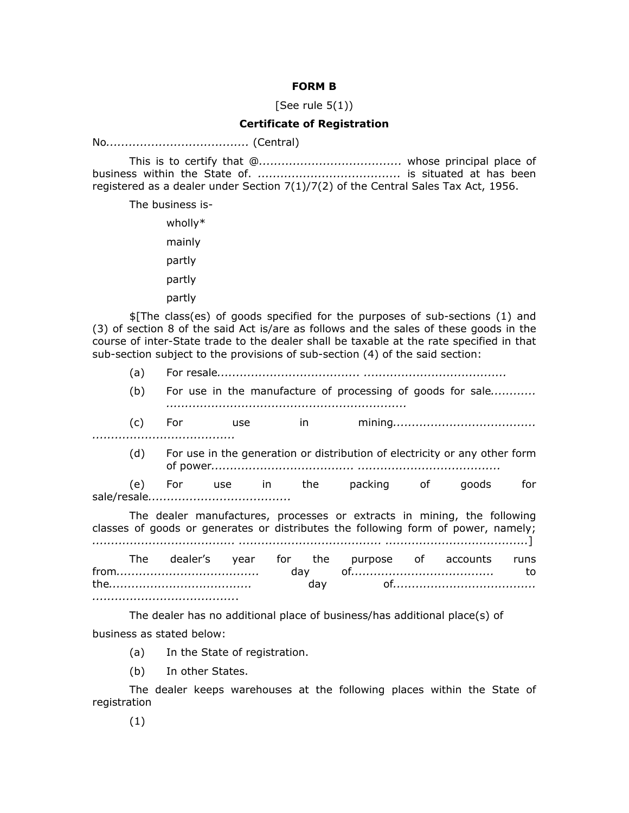## **FORM B**

[See rule  $5(1)$ ]

## **Certificate of Registration**

No*......................................* (Central)

This is to certify that @*......................................* whose principal place of business within the State of. *......................................* is situated at has been registered as a dealer under Section 7(1)/7(2) of the Central Sales Tax Act, 1956.

The business is-

wholly\* mainly partly partly partly

\$[The class(es) of goods specified for the purposes of sub-sections (1) and (3) of section 8 of the said Act is/are as follows and the sales of these goods in the course of inter-State trade to the dealer shall be taxable at the rate specified in that sub-section subject to the provisions of sub-section (4) of the said section:

(a) For resale*...................................... ......................................*

(b) For use in the manufacture of processing of goods for sale*............ ................................................................*

(c) For use in mining*...................................... ......................................*

(d) For use in the generation or distribution of electricity or any other form of power*...................................... ......................................*

(e) For use in the packing of goods for sale/resale*......................................*

The dealer manufactures, processes or extracts in mining, the following classes of goods or generates or distributes the following form of power, namely; *...................................... ...................................... ......................................*]

The dealer's year for the purpose of accounts runs from*......................................* day of*......................................* to the*......................................* day of*...................................... ......................................*.

The dealer has no additional place of business/has additional place(s) of business as stated below:

(a) In the State of registration.

(b) In other States.

The dealer keeps warehouses at the following places within the State of registration

(1)